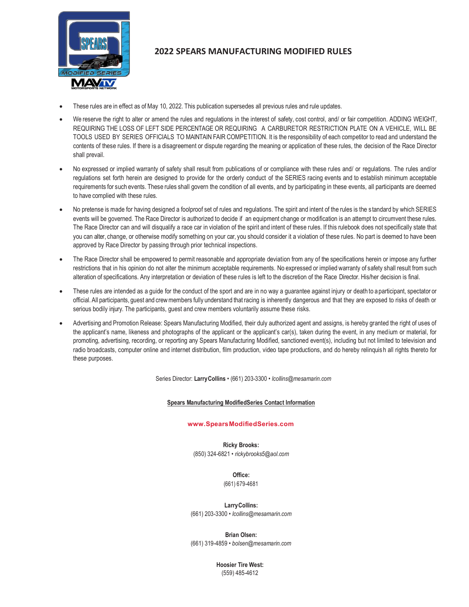

# **2022 SPEARS MANUFACTURING MODIFIED RULES**

- These rules are in effect as of May 10, 2022. This publication supersedes all previous rules and rule updates.
- We reserve the right to alter or amend the rules and regulations in the interest of safety, cost control, and/ or fair competition. ADDING WEIGHT, REQUIRING THE LOSS OF LEFT SIDE PERCENTAGE OR REQUIRING A CARBURETOR RESTRICTION PLATE ON A VEHICLE, WILL BE TOOLS USED BY SERIES OFFICIALS TO MAINTAIN FAIR COMPETITION. It is the responsibility of each competitor to read and understand the contents of these rules. If there is a disagreement or dispute regarding the meaning or application of these rules, the decision of the Race Director shall prevail.
- No expressed or implied warranty of safety shall result from publications of or compliance with these rules and/ or regulations. The rules and/or regulations set forth herein are designed to provide for the orderly conduct of the SERIES racing events and to establish minimum acceptable requirements for such events. These rules shall govern the condition of all events, and by participating in these events, all participants are deemed to have complied with these rules.
- No pretense is made for having designed a foolproof set of rules and regulations. The spirit and intent of the rules is the s tandard by which SERIES events will be governed. The Race Director is authorized to decide if an equipment change or modification is an attempt to circumvent these rules. The Race Director can and will disqualify a race car in violation of the spirit and intent of these rules. If this rulebook does not specifically state that you can alter, change, or otherwise modify something on your car, you should consider it a violation of these rules. No part is deemed to have been approved by Race Director by passing through prior technical inspections.
- The Race Director shall be empowered to permit reasonable and appropriate deviation from any of the specifications herein or impose any further restrictions that in his opinion do not alter the minimum acceptable requirements. No expressed or implied warranty of safety shall result from such alteration of specifications. Any interpretation or deviation of these rules is left to the discretion of the Race Director. His/her decision is final.
- These rules are intended as a guide for the conduct of the sport and are in no way a guarantee against injury or death to a participant, spectator or official. All participants, guest and crewmembers fully understand that racing is inherently dangerous and that they are exposed to risks of death or serious bodily injury. The participants, quest and crew members voluntarily assume these risks.
- Advertising and Promotion Release: Spears Manufacturing Modified, their duly authorized agent and assigns, is hereby granted the right of uses of the applicant's name, likeness and photographs of the applicant or the applicant's car(s), taken during the event, in any medium or material, for promoting, advertising, recording, or reporting any Spears Manufacturing Modified, sanctioned event(s), including but not limited to television and radio broadcasts, computer online and internet distribution, film production, video tape productions, and do hereby relinquish all rights thereto for these purposes.

Series Director: **LarryCollins** • (661) 203-3300 • *[lcollins@mesamarin.com](mailto:lcollins@mesamarin.com)*

#### **Spears Manufacturing ModifiedSeries Contact Information**

#### **[www.SpearsModifiedSeries.com](http://www.spearsmodifiedseries.com/)**

**Ricky Brooks:** (850) 324-6821 • *[rickybr](mailto:rickybrooks5@aol.com)[ooks5@aol.com](mailto:ooks5@aol.com)*

> **Office:** (661) 679-4681

**LarryCollins:** (661) 203-3300 • *[lcollins@mesamarin.com](mailto:lcollins@mesamarin.com)*

**Brian Olsen:** (661) 319-4859 • *[bolsen@mesamarin.com](mailto:bolsen@mesamarin.com)*

> **Hoosier Tire West:** (559) 485-4612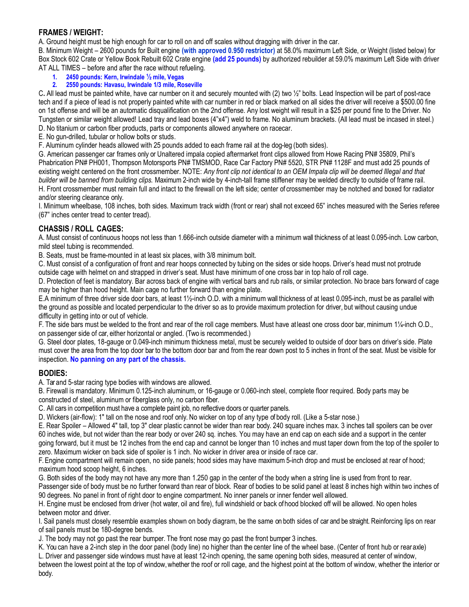#### **FRAMES / WEIGHT:**

A. Ground height must be high enough for car to roll on and off scales without dragging with driver in the car.

B. Minimum Weight – 2600 pounds for Built engine **(with approved 0.950 restrictor)** at 58.0% maximum Left Side, or Weight (listed below) for Box Stock 602 Crate or Yellow Book Rebuilt 602 Crate engine **(add 25 pounds)** by authorized rebuilder at 59.0% maximum Left Side with driver AT ALL TIMES – before and after the race without refueling.

- **1. 2450 pounds: Kern, Irwindale ½ mile, Vegas**
- **2. 2550 pounds: Havasu, Irwindale 1/3 mile, Roseville**

C**.** All lead must be painted white, have car number on it and securely mounted with (2) two ½" bolts. Lead Inspection will be part of post-race tech and if a piece of lead is not properly painted white with car number in red or black marked on all sides the driver will receive a \$500.00 fine on 1st offense and will be an automatic disqualification on the 2nd offense. Any lost weight will result in a \$25 per pound fine to the Driver. No Tungsten or similar weight allowed! Lead tray and lead boxes (4"x4") weld to frame. No aluminum brackets. (All lead must be incased in steel.) D. No titanium or carbon fiber products, parts or components allowed anywhere on racecar.

E. No gun-drilled, tubular or hollow bolts or studs.

F. Aluminum cylinder heads allowed with 25 pounds added to each frame rail at the dog-leg (both sides).

G. American passenger car frames only or Unaltered impala copied aftermarket front clips allowed from Howe Racing PN# 35809, Phil's Phabrication PN# PH001, Thompson Motorsports PN# TMSMOD, Race Car Factory PN# 5520, STR PN# 1128F and must add 25 pounds of existing weight centered on the front crossmember. NOTE: *Any front clip not identical to an OEM Impala clip will be deemed Illegal and that builder will be banned from building clips.* Maximum 2-inch wide by 4-inch-tall frame stiffener may be welded directly to outside of frame rail. H. Front crossmember must remain full and intact to the firewall on the left side; center of crossmember may be notched and boxed for radiator and/or steering clearance only.

I. Minimum wheelbase, 108 inches, both sides. Maximum track width (front or rear) shall not exceed 65" inches measured with the Series referee (67" inches center tread to center tread).

# **CHASSIS / ROLL CAGES:**

A. Must consist of continuous hoops not less than 1.666-inch outside diameter with a minimum wall thickness of at least 0.095-inch. Low carbon, mild steel tubing is recommended.

B. Seats, must be frame-mounted in at least six places, with 3/8 minimum bolt.

C. Must consist of a configuration of front and rear hoops connected by tubing on the sides or side hoops. Driver's head must not protrude outside cage with helmet on and strapped in driver's seat. Must have minimum of one cross bar in top halo of roll cage.

D. Protection of feet is mandatory. Bar across back of engine with vertical bars and rub rails, or similar protection. No brace bars forward of cage may be higher than hood height. Main cage no further forward than engine plate.

E.A minimum of three driver side door bars, at least 1½-inch O.D. with a minimum wall thickness of at least 0.095-inch, must be as parallel with the ground as possible and located perpendicular to the driver so as to provide maximum protection for driver, but without causing undue difficulty in getting into or out of vehicle.

F. The side bars must be welded to the front and rear of the roll cage members. Must have at least one cross door bar, minimum 1¼-inch O.D., on passenger side of car, either horizontal or angled. (Two is recommended.)

G. Steel door plates, 18-gauge or 0.049-inch minimum thickness metal, must be securely welded to outside of door bars on driver's side. Plate must cover the area from the top door bar to the bottom door bar and from the rear down post to 5 inches in front of the seat. Must be visible for inspection. **No panning on any part of the chassis.**

#### **BODIES:**

A. Tar and 5-star racing type bodies with windows are allowed.

B. Firewall is mandatory. Minimum 0.125-inch aluminum, or 16-gauge or 0.060-inch steel, complete floor required. Body parts may be constructed of steel, aluminum or fiberglass only, no carbon fiber.

C. All cars in competition must have a complete paint job, no reflective doors or quarter panels.

D. Wickers (air-flow): 1" tall on the nose and roof only. No wicker on top of any type of body roll. (Like a 5-star nose.)

E. Rear Spoiler – Allowed 4" tall, top 3" clear plastic cannot be wider than rear body. 240 square inches max. 3 inches tall spoilers can be over 60 inches wide, but not wider than the rear body or over 240 sq. inches. You may have an end cap on each side and a support in the center going forward, but it must be 12 inches from the end cap and cannot be longer than 10 inches and must taper down from the top of the spoiler to zero. Maximum wicker on back side of spoiler is 1 inch. No wicker in driver area or inside of race car.

F. Engine compartment will remain open, no side panels; hood sides may have maximum 5-inch drop and must be enclosed at rear of hood; maximum hood scoop height, 6 inches.

G. Both sides of the body may not have any more than 1.250 gap in the center of the body when a string line is used from front to rear.

Passenger side of body must be no further forward than rear of block. Rear of bodies to be solid panel at least 8 inches high within two inches of 90 degrees. No panel in front of right door to engine compartment. No inner panels or inner fender well allowed.

H. Engine must be enclosed from driver (hot water, oil and fire), full windshield or back of hood blocked off will be allowed. No open holes between motor and driver.

I. Sail panels must closely resemble examples shown on body diagram, be the same on both sides of car and be straight. Reinforcing lips on rear of sail panels must be 180-degree bends.

J. The body may not go past the rear bumper. The front nose may go past the front bumper 3 inches.

K. You can have a 2-inch step in the door panel (body line) no higher than the center line of the wheel base. (Center of front hub or rearaxle) L. Driver and passenger side windows must have at least 12-inch opening, the same opening both sides, measured at center of window, between the lowest point at the top of window,whether the roof or roll cage, and the highest point at the bottom of window, whether the interior or body.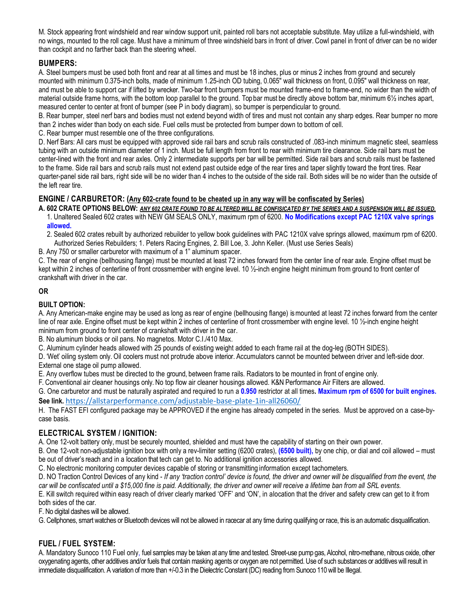M. Stock appearing front windshield and rear window support unit, painted roll bars not acceptable substitute. May utilize a full-windshield, with no wings, mounted to the roll cage. Must have a minimum of three windshield bars in front of driver. Cowl panel in front of driver can be no wider than cockpit and no farther back than the steering wheel.

# **BUMPERS:**

A. Steel bumpers must be used both front and rear at all times and must be 18 inches, plus or minus 2 inches from ground and securely mounted with minimum 0.375-inch bolts, made of minimum 1.25-inch OD tubing, 0.065" wall thickness on front, 0.095" wall thickness on rear, and must be able to support car if lifted by wrecker. Two-bar front bumpers must be mounted frame-end to frame-end, no wider than the width of material outside frame horns, with the bottom loop parallel to the ground. Top bar must be directly above bottom bar, minimum 6½ inches apart, measured center to center at front of bumper (see P in body diagram), so bumper is perpendicular to ground.

B. Rear bumper, steel nerf bars and bodies must not extend beyond width of tires and must not contain any sharp edges. Rear bumper no more than 2 inches wider than body on each side. Fuel cells must be protected from bumper down to bottom of cell.

C. Rear bumper must resemble one of the three configurations.

D. Nerf Bars: All cars must be equipped with approved side rail bars and scrub rails constructed of .083-inch minimum magnetic steel, seamless tubing with an outside minimum diameter of 1 inch. Must be full length from front to rear with minimum tire clearance. Side rail bars must be center-lined with the front and rear axles. Only 2 intermediate supports per bar will be permitted. Side rail bars and scrub rails must be fastened to the frame. Side rail bars and scrub rails must not extend past outside edge of the rear tires and taper slightly toward the front tires. Rear quarter-panel side rail bars, right side will be no wider than 4 inches to the outside of the side rail. Both sides will be no wider than the outside of the left rear tire.

# **ENGINE / CARBURETOR: (Any 602-crate found to be cheated up in any way will be confiscated by Series)**

**A. 602 CRATE OPTIONS BELOW:** *ANY 602 CRATE FOUND TO BE ALTERED WILL BE CONFISICATED BY THE SERIES AND A SUSPENSION WILL BE ISSUED.* 1. Unaltered Sealed 602 crates with NEW GM SEALS ONLY, maximum rpm of 6200. **No Modifications except PAC 1210X valve springs allowed.**

2. Sealed 602 crates rebuilt by authorized rebuilder to yellow book guidelines with PAC 1210X valve springs allowed, maximum rpm of 6200. Authorized Series Rebuilders; 1. Peters Racing Engines, 2. Bill Loe, 3. John Keller. (Must use Series Seals)

B. Any 750 or smaller carburetor with maximum of a 1" aluminum spacer.

C. The rear of engine (bellhousing flange) must be mounted at least 72 inches forward from the center line of rear axle. Engine offset must be kept within 2 inches of centerline of front crossmember with engine level. 10 ½-inch engine height minimum from ground to front center of crankshaft with driver in the car.

## **OR**

# **BUILT OPTION:**

A. Any American-make engine may be used as long as rear of engine (bellhousing flange) is mounted at least 72 inches forward from the center line of rear axle. Engine offset must be kept within 2 inches of centerline of front crossmember with engine level. 10 1/<sub>2</sub>-inch engine height minimum from ground to front center of crankshaft with driver in the car.

B. No aluminum blocks or oil pans. No magnetos. Motor C.I./410 Max.

C. Aluminum cylinder heads allowed with 25 pounds of existing weight added to each frame rail at the dog-leg (BOTH SIDES).

D. 'Wet' oiling system only. Oil coolers must not protrude above interior. Accumulators cannot be mounted between driver and left-side door. External one stage oil pump allowed.

E. Any overflow tubes must be directed to the ground, between frame rails. Radiators to be mounted in front of engine only.

F. Conventional air cleaner housings only. No top flow air cleaner housings allowed. K&N Performance Air Filters are allowed.

G. One carburetor and must be naturally aspirated and required to run a **0.950** restrictor at all times**. Maximum rpm of 6500 for built engines. See link.** <https://allstarperformance.com/adjustable-base-plate-1in-all26060/>

H. The FAST EFI configured package may be APPROVED if the engine has already competed in the series. Must be approved on a case-bycase basis.

# **ELECTRICAL SYSTEM / IGNITION:**

A. One 12-volt battery only, must be securely mounted, shielded and must have the capability of starting on their own power.

B. One 12-volt non-adjustable ignition box with only a rev-limiter setting (6200 crates), **(6500 built),** by one chip, or dial and coil allowed – must be out of driver's reach and in a location that tech can get to. No additional ignition accessories allowed.

C. No electronic monitoring computer devices capable of storing or transmitting information except tachometers.

D. NO Traction Control Devices of any kind - *If any 'traction control' device is found, the driver and owner will be disqualified from the event, the car will be confiscated until a \$15,000 fine is paid. Additionally, the driver and owner will receive a lifetime ban from all SRL events.*

E. Kill switch required within easy reach of driver clearly marked 'OFF' and 'ON', in a location that the driver and safety crew can get to it from both sides of the car.

F. No digital dashes will be allowed.

G. Cellphones, smart watches or Bluetooth devices will not be allowed in racecar at any time during qualifying or race, this is an automatic disqualification.

# **FUEL / FUEL SYSTEM:**

A. Mandatory Sunoco 110 Fuel only, fuel samples may be taken at any time and tested. Street-use pump gas, Alcohol, nitro-methane, nitrous oxide, other oxygenating agents, other additives and/or fuels that contain masking agents or oxygen are not permitted. Use of such substances or additives will result in immediate disqualification. A variation of more than +/-0.3 in the Dielectric Constant (DC) reading from Sunoco 110will be Illegal.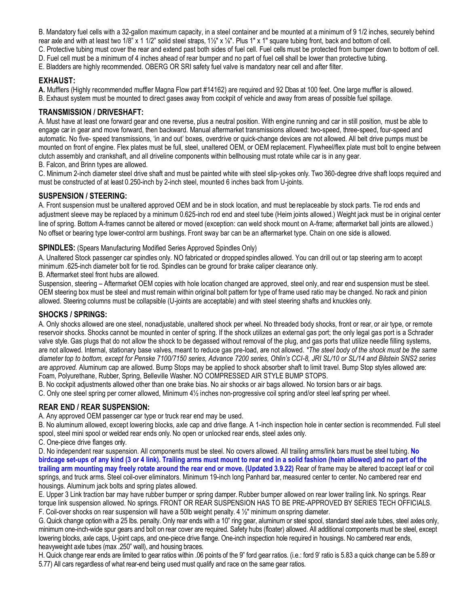B. Mandatory fuel cells with a 32-gallon maximum capacity, in a steel container and be mounted at a minimum of 9 1/2 inches, securely behind rear axle and with at least two 1/8" x 1 1/2" solid steel straps, 1½" x ⅛". Plus 1" x 1" square tubing front, back and bottom of cell.

C. Protective tubing must cover the rear and extend past both sides of fuel cell. Fuel cells must be protected from bumper down to bottom of cell.

D. Fuel cell must be a minimum of 4 inches ahead of rear bumper and no part of fuel cell shall be lower than protective tubing.

E. Bladders are highly recommended. OBERG OR SRI safety fuel valve is mandatory near cell and after filter.

#### **EXHAUST:**

**A.** Mufflers (Highly recommended muffler Magna Flow part #14162) are required and 92 Dbas at 100 feet. One large muffler is allowed. B. Exhaust system must be mounted to direct gases away from cockpit of vehicle and away from areas of possible fuel spillage.

## **TRANSMISSION / DRIVESHAFT:**

A. Must have at least one forward gear and one reverse, plus a neutral position. With engine running and car in still position, must be able to engage car in gear and move forward, then backward. Manual aftermarket transmissions allowed: two-speed, three-speed, four-speed and automatic. No five- speed transmissions, 'in and out' boxes, overdrive or quick-change devices are not allowed. All belt drive pumps must be mounted on front of engine. Flex plates must be full, steel, unaltered OEM, or OEM replacement. Flywheel/flex plate must bolt to engine between clutch assembly and crankshaft, and all driveline components within bellhousing must rotate while car is in any gear.

B. Falcon, and Brinn types are allowed.

C. Minimum 2-inch diameter steel drive shaft and must be painted white with steel slip-yokes only. Two 360-degree drive shaft loops required and must be constructed of at least 0.250-inch by 2-inch steel, mounted 6 inches back from U-joints.

## **SUSPENSION / STEERING:**

A. Front suspension must be unaltered approved OEM and be in stock location, and must be replaceable by stock parts. Tie rod ends and adjustment sleeve may be replaced by a minimum 0.625-inch rod end and steel tube (Heim joints allowed.) Weight jack must be in original center line of spring. Bottom A-frames cannot be altered or moved (exception: can weld shock mount on A-frame; aftermarket ball joints are allowed.) No offset or bearing type lower-control arm bushings. Front sway bar can be an aftermarket type. Chain on one side is allowed.

#### **SPINDLES:** (Spears Manufacturing Modified Series Approved Spindles Only)

A. Unaltered Stock passenger car spindles only. NO fabricated or dropped spindles allowed. You can drill out or tap steering arm to accept minimum .625-inch diameter bolt for tie rod. Spindles can be ground for brake caliper clearance only.

B. Aftermarket steel front hubs are allowed.

Suspension, steering – Aftermarket OEM copies with hole location changed are approved, steel only, and rear end suspension must be steel. OEM steering box must be steel and must remain within original bolt pattern for type of frame used ratio may be changed. No rack and pinion allowed. Steering columns must be collapsible (U-joints are acceptable) and with steel steering shafts and knuckles only.

#### **SHOCKS / SPRINGS:**

A. Only shocks allowed are one steel, nonadjustable, unaltered shock per wheel. No threaded body shocks, front or rear, or air type, or remote reservoir shocks. Shocks cannot be mounted in center of spring. If the shock utilizes an external gas port; the only legal gas port is a Schrader valve style. Gas plugs that do not allow the shock to be degassed without removal of the plug, and gas ports that utilize needle filling systems, are not allowed. Internal, stationary base valves, meant to reduce gas pre-load, are not allowed. *\*The steel body of the shock must be the same diameter top to bottom, except for Penske 7100/7150 series, Advance 7200 series, Ohlin's CCI-8, JRI SL/10 or SL/14 and Bilstein SNS2 series are approved.* Aluminum cap are allowed. Bump Stops may be applied to shock absorber shaft to limit travel. Bump Stop styles allowed are: Foam, Polyurethane, Rubber, Spring, Belleville Washer. NO COMPRESSED AIR STYLE BUMP STOPS.

B. No cockpit adjustments allowed other than one brake bias. No air shocks or air bags allowed. No torsion bars or air bags.

C. Only one steel spring per corner allowed, Minimum 4½ inches non-progressive coil spring and/or steel leaf spring per wheel.

#### **REAR END / REAR SUSPENSION:**

A. Any approved OEM passenger car type or truck rear end may be used.

B. No aluminum allowed, except lowering blocks, axle cap and drive flange. A 1-inch inspection hole in center section is recommended. Full steel spool, steel mini spool or welded rear ends only. No open or unlocked rear ends, steel axles only.

C. One-piece drive flanges only.

D. No independent rear suspension. All components must be steel. No covers allowed. All trailing arms/link bars must be steel tubing. **No birdcage set-ups of any kind (3 or 4 link). Trailing arms must mount to rear end in a solid fashion (heim allowed) and no part of the trailing arm mounting may freely rotate around the rear end or move. (Updated 3.9.22)** Rear of frame may be altered to accept leaf or coil springs, and truck arms. Steel coil-over eliminators. Minimum 19-inch long Panhard bar, measured center to center. No cambered rear end housings. Aluminum jack bolts and spring plates allowed.

E. Upper 3 Link traction bar may have rubber bumper or spring damper. Rubber bumper allowed on rear lower trailing link. No springs. Rear torque link suspension allowed. No springs. FRONT OR REAR SUSPENSION HAS TO BE PRE-APPROVED BY SERIES TECH OFFICIALS. F. Coil-over shocks on rear suspension will have a 50lb weight penalty. 4 ½" minimum on spring diameter.

G. Quick change option with a 25 lbs. penalty. Only rear ends with a 10" ring gear, aluminum or steel spool, standard steel axle tubes, steel axles only, minimum one-inch-wide spur gears and bolt on rear cover are required. Safety hubs (floater) allowed. All additional components must be steel, except lowering blocks, axle caps, U-joint caps, and one-piece drive flange. One-inch inspection hole required in housings. No cambered rear ends, heavyweight axle tubes (max .250" wall), and housing braces.

H. Quick change rear ends are limited to gear ratios within .06 points of the 9" ford gear ratios. (i.e.: ford 9' ratio is 5.83 a quick change can be 5.89 or 5.77) All cars regardless of what rear-end being used must qualify and race on the same gear ratios.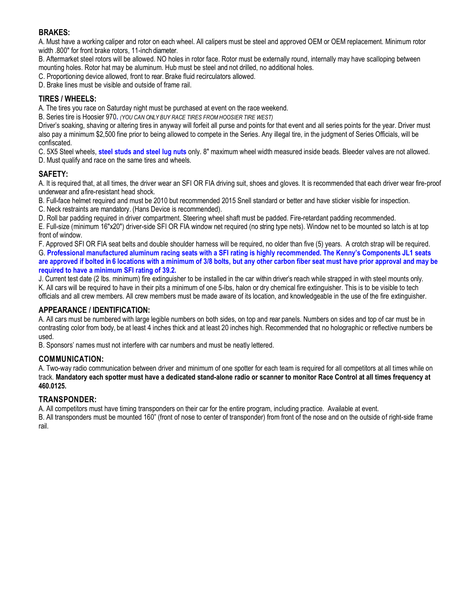#### **BRAKES:**

A. Must have a working caliper and rotor on each wheel. All calipers must be steel and approved OEM or OEM replacement. Minimum rotor width .800" for front brake rotors, 11-inch diameter.

B. Aftermarket steel rotors will be allowed. NO holes in rotor face. Rotor must be externally round, internally may have scalloping between mounting holes. Rotor hat may be aluminum. Hub must be steel and not drilled, no additional holes.

C. Proportioning device allowed, front to rear. Brake fluid recirculators allowed.

D. Brake lines must be visible and outside of frame rail.

#### **TIRES / WHEELS:**

A. The tires you race on Saturday night must be purchased at event on the race weekend.

B. Series tire is Hoosier 970**.** *(YOU CAN ONLY BUY RACE TIRES FROM HOOSIER TIRE WEST)*

Driver's soaking, shaving or altering tires in anyway will forfeit all purse and points for that event and all series points for the year. Driver must also pay a minimum \$2,500 fine prior to being allowed to compete in the Series. Any illegal tire, in the judgment of Series Officials, will be confiscated.

C. 5X5 Steel wheels, **steel studs and steel lug nuts** only. 8" maximum wheel width measured inside beads. Bleeder valves are not allowed. D. Must qualify and race on the same tires and wheels.

## **SAFETY:**

A. It is required that, at all times, the driver wear an SFI OR FIA driving suit, shoes and gloves. It is recommended that each driver wear fire-proof underwear and a fire-resistant head shock.

B. Full-face helmet required and must be 2010 but recommended 2015 Snell standard or better and have sticker visible for inspection.

C. Neck restraints are mandatory. (Hans Device is recommended).

D. Roll bar padding required in driver compartment. Steering wheel shaft must be padded. Fire-retardant padding recommended.

E. Full-size (minimum 16"x20") driver-side SFI OR FIA window net required (no string type nets). Window net to be mounted so latch is at top front of window.

F. Approved SFI OR FIA seat belts and double shoulder harness will be required, no older than five (5) years. A crotch strap will be required. G. **Professional manufactured aluminum racing seats with a SFI rating is highly recommended. The Kenny's Components JL1 seats are approved if bolted in 6 locations with a minimum of 3/8 bolts, but any other carbon fiber seat must have prior approval and may be required to have a minimum SFI rating of 39.2.**

J. Current test date (2 lbs. minimum) fire extinguisher to be installed in the car within driver's reach while strapped in with steel mounts only. K. All cars will be required to have in their pits a minimum of one 5-lbs, halon or dry chemical fire extinguisher. This is to be visible to tech officials and all crew members. All crew members must be made aware of its location, and knowledgeable in the use of the fire extinguisher.

# **APPEARANCE / IDENTIFICATION:**

A. All cars must be numbered with large legible numbers on both sides, on top and rear panels. Numbers on sides and top of car must be in contrasting color from body, be at least 4 inches thick and at least 20 inches high. Recommended that no holographic or reflective numbers be used.

B. Sponsors' names must not interfere with car numbers and must be neatly lettered.

#### **COMMUNICATION:**

A. Two-way radio communication between driver and minimum of one spotter for each team is required for all competitors at all times while on track. **Mandatory each spotter must have a dedicated stand-alone radio or scanner to monitor Race Control at all times frequency at 460.0125.**

# **TRANSPONDER:**

A. All competitors must have timing transponders on their car for the entire program, including practice. Available at event.

B. All transponders must be mounted 160" (front of nose to center of transponder) from front of the nose and on the outside of right-side frame rail.